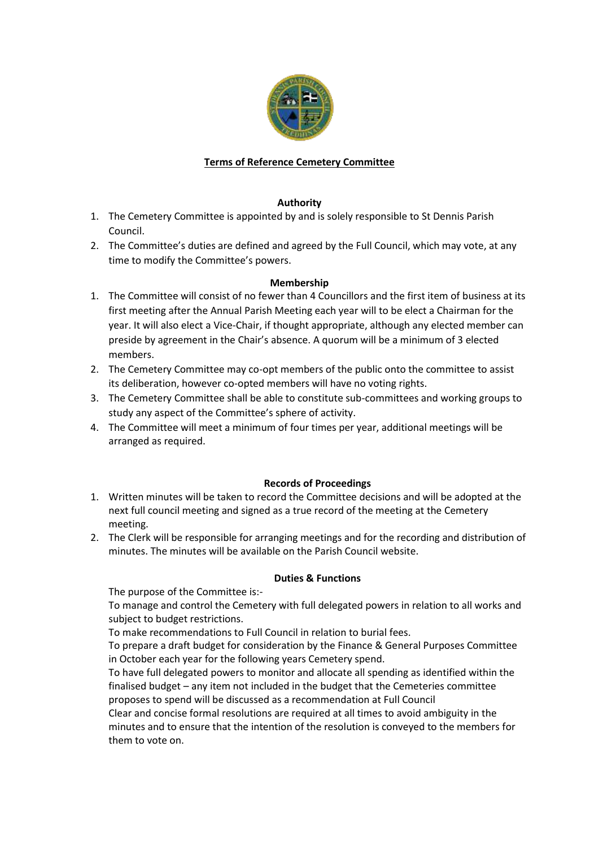

# **Terms of Reference Cemetery Committee**

# **Authority**

- 1. The Cemetery Committee is appointed by and is solely responsible to St Dennis Parish Council.
- 2. The Committee's duties are defined and agreed by the Full Council, which may vote, at any time to modify the Committee's powers.

# **Membership**

- 1. The Committee will consist of no fewer than 4 Councillors and the first item of business at its first meeting after the Annual Parish Meeting each year will to be elect a Chairman for the year. It will also elect a Vice-Chair, if thought appropriate, although any elected member can preside by agreement in the Chair's absence. A quorum will be a minimum of 3 elected members.
- 2. The Cemetery Committee may co-opt members of the public onto the committee to assist its deliberation, however co-opted members will have no voting rights.
- 3. The Cemetery Committee shall be able to constitute sub-committees and working groups to study any aspect of the Committee's sphere of activity.
- 4. The Committee will meet a minimum of four times per year, additional meetings will be arranged as required.

### **Records of Proceedings**

- 1. Written minutes will be taken to record the Committee decisions and will be adopted at the next full council meeting and signed as a true record of the meeting at the Cemetery meeting.
- 2. The Clerk will be responsible for arranging meetings and for the recording and distribution of minutes. The minutes will be available on the Parish Council website.

### **Duties & Functions**

The purpose of the Committee is:-

To manage and control the Cemetery with full delegated powers in relation to all works and subject to budget restrictions.

To make recommendations to Full Council in relation to burial fees.

To prepare a draft budget for consideration by the Finance & General Purposes Committee in October each year for the following years Cemetery spend.

To have full delegated powers to monitor and allocate all spending as identified within the finalised budget – any item not included in the budget that the Cemeteries committee proposes to spend will be discussed as a recommendation at Full Council

Clear and concise formal resolutions are required at all times to avoid ambiguity in the minutes and to ensure that the intention of the resolution is conveyed to the members for them to vote on.